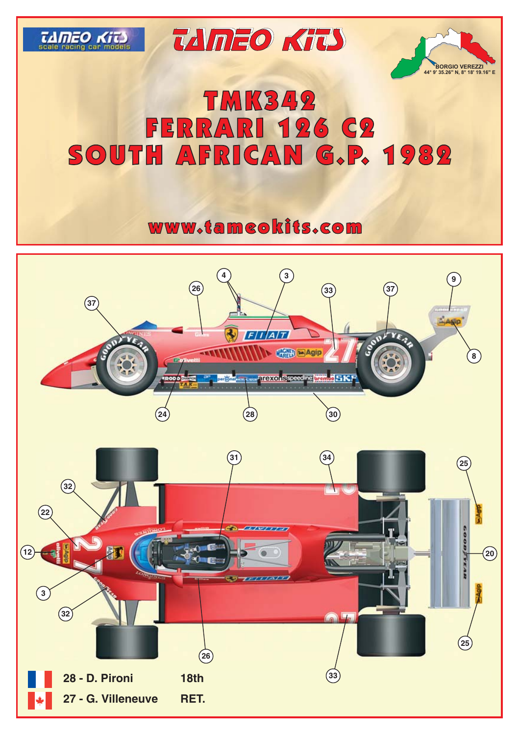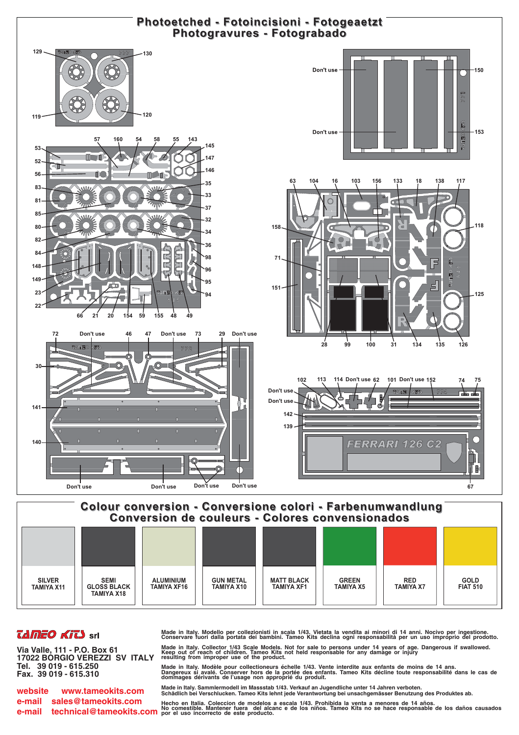

## **TAMEO KITS** srl

Via Valle, 111 - P.O. Box 61 17022 BORGIO VEREZZI SV ITALY Tel. 39 019 - 615.250 Fax. 39 019 - 615.310

www.tameokits.com website e-mail sales@tameokits.com

Made in Italy. Modello per collezionisti in scala 1/43. Vietata la vendita ai minori di 14 anni. Nocivo per ingestione.<br>Conservare fuori dalla portata dei bambini. Tameo Kits declina ogni responsabilità per un uso impropri Made in Italy. Collector 1/43 Scale Models. Not for sale to persons under 14 years of age. Dangerous if swallowed.<br>Keep out of reach of children. Tameo Kits not held responsable for any damage or injury<br>resulting from impr

Made in Italy. Modèle pour collectioneurs échelle 1/43. Vente interdite aux enfants de moins de 14 ans.<br>Dangereux si avalé. Conserver hors de la portée des enfants. Tameo Kits décline toute responsabilité dans le cas de mages dérivants de l'usage non approprié du produit.

Made in Italy. Sammlermodell im Massstab 1/43. Verkauf an Jugendliche unter 14 Jahren verboten.<br>Schädlich bei Verschlucken. Tameo Kits lehnt jede Verantwortung bei unsachgemässer Benutzung des Produktes ab.

e-mail sales @tameokits.com Hecho en Italia. Coleccion de modelos a escala 1/43. Prohibida la venta a menores de 14 años.<br>e-mail technical@tameokits.com Nor comestible. Mantener fuera del alcanc e de los niños. Tameo Kits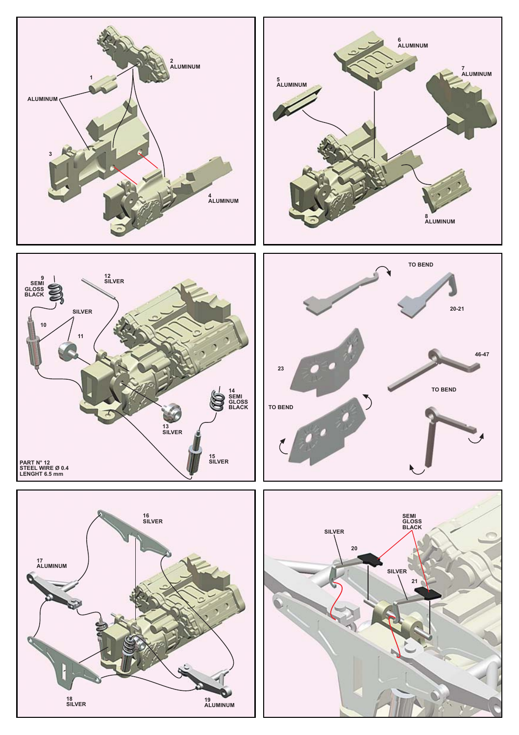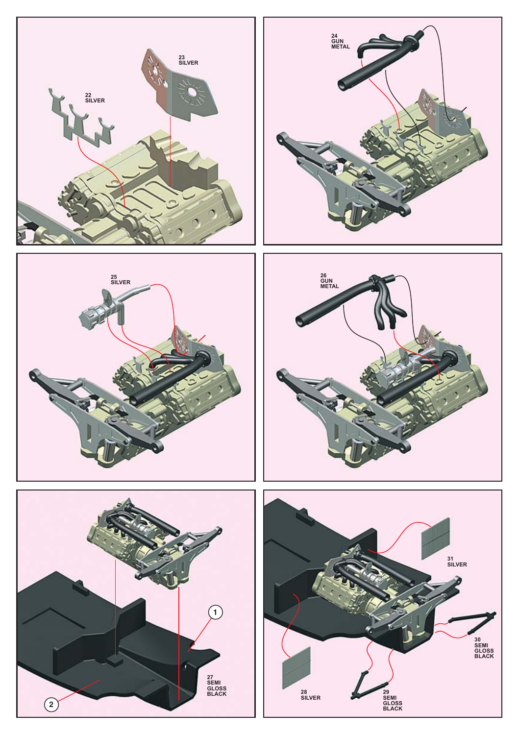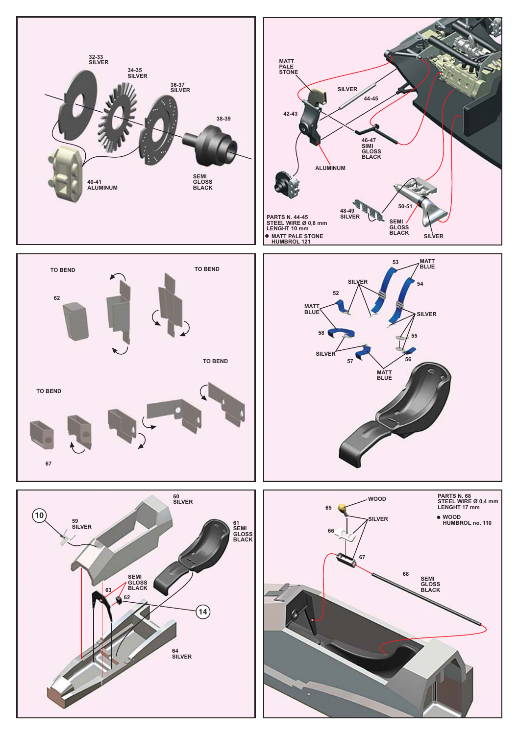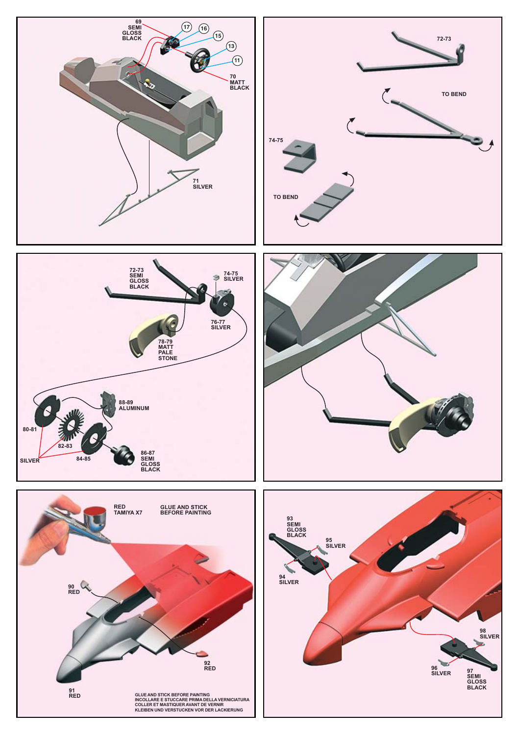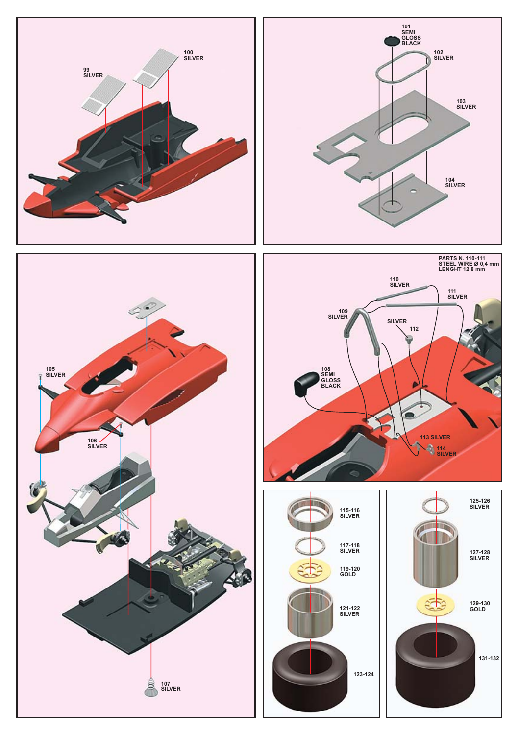